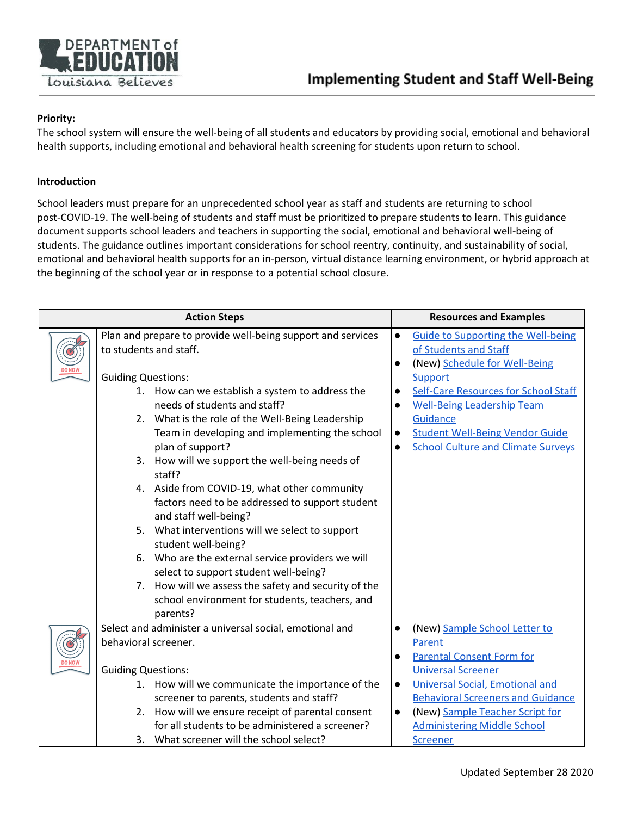

## **Priority:**

The school system will ensure the well-being of all students and educators by providing social, emotional and behavioral health supports, including emotional and behavioral health screening for students upon return to school.

## **Introduction**

School leaders must prepare for an unprecedented school year as staff and students are returning to school post-COVID-19. The well-being of students and staff must be prioritized to prepare students to learn. This guidance document supports school leaders and teachers in supporting the social, emotional and behavioral well-being of students. The guidance outlines important considerations for school reentry, continuity, and sustainability of social, emotional and behavioral health supports for an in-person, virtual distance learning environment, or hybrid approach at the beginning of the school year or in response to a potential school closure.

| <b>Action Steps</b> |                                                                                                                                                                                                                                                                                                                                                                                                                                             |                        | <b>Resources and Examples</b>                                                                                                                                                                                                                                                                  |
|---------------------|---------------------------------------------------------------------------------------------------------------------------------------------------------------------------------------------------------------------------------------------------------------------------------------------------------------------------------------------------------------------------------------------------------------------------------------------|------------------------|------------------------------------------------------------------------------------------------------------------------------------------------------------------------------------------------------------------------------------------------------------------------------------------------|
|                     | Plan and prepare to provide well-being support and services<br>to students and staff.<br><b>Guiding Questions:</b><br>1. How can we establish a system to address the<br>needs of students and staff?<br>2. What is the role of the Well-Being Leadership<br>Team in developing and implementing the school<br>plan of support?<br>3. How will we support the well-being needs of<br>staff?<br>4. Aside from COVID-19, what other community | $\bullet$<br>$\bullet$ | <b>Guide to Supporting the Well-being</b><br>of Students and Staff<br>(New) Schedule for Well-Being<br>Support<br>Self-Care Resources for School Staff<br><b>Well-Being Leadership Team</b><br>Guidance<br><b>Student Well-Being Vendor Guide</b><br><b>School Culture and Climate Surveys</b> |
|                     | factors need to be addressed to support student<br>and staff well-being?<br>5. What interventions will we select to support<br>student well-being?<br>Who are the external service providers we will<br>6.<br>select to support student well-being?<br>7. How will we assess the safety and security of the<br>school environment for students, teachers, and<br>parents?                                                                   |                        |                                                                                                                                                                                                                                                                                                |
|                     | Select and administer a universal social, emotional and<br>behavioral screener.                                                                                                                                                                                                                                                                                                                                                             | $\bullet$              | (New) Sample School Letter to<br>Parent<br><b>Parental Consent Form for</b>                                                                                                                                                                                                                    |
|                     | <b>Guiding Questions:</b><br>1. How will we communicate the importance of the<br>screener to parents, students and staff?<br>2. How will we ensure receipt of parental consent<br>for all students to be administered a screener?<br>3. What screener will the school select?                                                                                                                                                               | $\bullet$              | <b>Universal Screener</b><br><b>Universal Social, Emotional and</b><br><b>Behavioral Screeners and Guidance</b><br>(New) Sample Teacher Script for<br><b>Administering Middle School</b><br><b>Screener</b>                                                                                    |